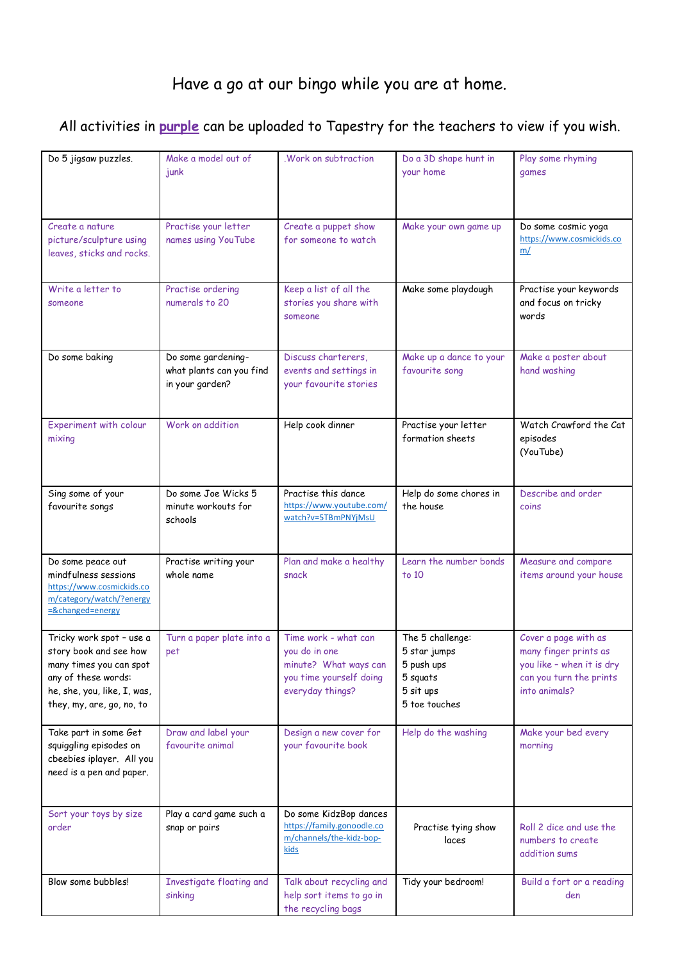## Have a go at our bingo while you are at home.

## All activities in **purple** can be uploaded to Tapestry for the teachers to view if you wish.

| Do 5 jigsaw puzzles.                         | Make a model out of       | .Work on subtraction       | Do a 3D shape hunt in   | Play some rhyming         |  |
|----------------------------------------------|---------------------------|----------------------------|-------------------------|---------------------------|--|
|                                              | junk                      |                            | your home               | games                     |  |
|                                              |                           |                            |                         |                           |  |
|                                              |                           |                            |                         |                           |  |
|                                              |                           |                            |                         |                           |  |
| Create a nature                              | Practise your letter      | Create a puppet show       | Make your own game up   | Do some cosmic yoga       |  |
| picture/sculpture using                      | names using YouTube       | for someone to watch       |                         | https://www.cosmickids.co |  |
| leaves, sticks and rocks.                    |                           |                            |                         | m/                        |  |
|                                              |                           |                            |                         |                           |  |
|                                              |                           |                            |                         |                           |  |
| Write a letter to                            | Practise ordering         | Keep a list of all the     | Make some playdough     | Practise your keywords    |  |
| someone                                      | numerals to 20            | stories you share with     |                         | and focus on tricky       |  |
|                                              |                           | someone                    |                         | words                     |  |
|                                              |                           |                            |                         |                           |  |
|                                              |                           |                            |                         |                           |  |
| Do some baking                               | Do some gardening-        | Discuss charterers,        | Make up a dance to your | Make a poster about       |  |
|                                              | what plants can you find  | events and settings in     | favourite song          | hand washing              |  |
|                                              | in your garden?           | your favourite stories     |                         |                           |  |
|                                              |                           |                            |                         |                           |  |
|                                              |                           |                            |                         |                           |  |
| Experiment with colour                       | Work on addition          | Help cook dinner           | Practise your letter    | Watch Crawford the Cat    |  |
| mixing                                       |                           |                            | formation sheets        | episodes                  |  |
|                                              |                           |                            |                         | (YouTube)                 |  |
|                                              |                           |                            |                         |                           |  |
|                                              |                           |                            |                         |                           |  |
| Sing some of your                            | Do some Joe Wicks 5       | Practise this dance        | Help do some chores in  | Describe and order        |  |
| favourite songs                              | minute workouts for       | https://www.youtube.com/   | the house               | coins                     |  |
|                                              | schools                   | watch?v=5TBmPNYjMsU        |                         |                           |  |
|                                              |                           |                            |                         |                           |  |
|                                              |                           |                            |                         |                           |  |
| Do some peace out                            | Practise writing your     | Plan and make a healthy    | Learn the number bonds  | Measure and compare       |  |
| mindfulness sessions                         | whole name                | snack                      | to 10                   | items around your house   |  |
| https://www.cosmickids.co                    |                           |                            |                         |                           |  |
| m/category/watch/?energy<br>=&changed=energy |                           |                            |                         |                           |  |
|                                              |                           |                            |                         |                           |  |
| Tricky work spot - use a                     | Turn a paper plate into a | Time work - what can       | The 5 challenge:        | Cover a page with as      |  |
| story book and see how                       | pet                       | you do in one              | 5 star jumps            | many finger prints as     |  |
| many times you can spot                      |                           | minute? What ways can      | 5 push ups              | you like - when it is dry |  |
| any of these words:                          |                           | you time yourself doing    | 5 squats                | can you turn the prints   |  |
| he, she, you, like, I, was,                  |                           | everyday things?           | 5 sit ups               | into animals?             |  |
| they, my, are, go, no, to                    |                           |                            | 5 toe touches           |                           |  |
|                                              |                           |                            |                         |                           |  |
| Take part in some Get                        | Draw and label your       | Design a new cover for     | Help do the washing     | Make your bed every       |  |
| squiggling episodes on                       | favourite animal          | your favourite book        |                         | morning                   |  |
| cbeebies iplayer. All you                    |                           |                            |                         |                           |  |
| need is a pen and paper.                     |                           |                            |                         |                           |  |
|                                              |                           |                            |                         |                           |  |
|                                              |                           |                            |                         |                           |  |
| Sort your toys by size                       | Play a card game such a   | Do some KidzBop dances     |                         |                           |  |
| order                                        | snap or pairs             | https://family.gonoodle.co | Practise tying show     | Roll 2 dice and use the   |  |
|                                              |                           | m/channels/the-kidz-bop-   | laces                   | numbers to create         |  |
|                                              |                           | kids                       |                         | addition sums             |  |
|                                              |                           |                            |                         |                           |  |
| Blow some bubbles!                           | Investigate floating and  | Talk about recycling and   | Tidy your bedroom!      | Build a fort or a reading |  |
|                                              | sinking                   | help sort items to go in   |                         | den                       |  |
|                                              |                           | the recycling bags         |                         |                           |  |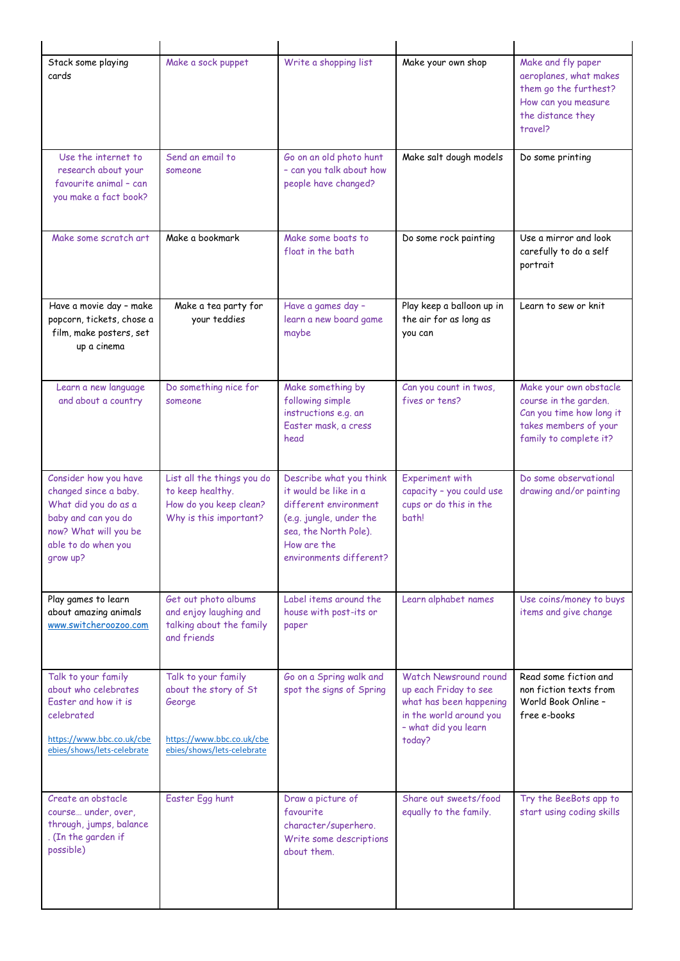| Stack some playing<br>cards                                                                                                                               | Make a sock puppet                                                                                                | Write a shopping list                                                                                                                                                   | Make your own shop                                                                                                                     | Make and fly paper<br>aeroplanes, what makes<br>them go the furthest?<br>How can you measure<br>the distance they<br>travel?   |  |
|-----------------------------------------------------------------------------------------------------------------------------------------------------------|-------------------------------------------------------------------------------------------------------------------|-------------------------------------------------------------------------------------------------------------------------------------------------------------------------|----------------------------------------------------------------------------------------------------------------------------------------|--------------------------------------------------------------------------------------------------------------------------------|--|
| Use the internet to<br>research about your<br>favourite animal - can<br>you make a fact book?                                                             | Send an email to<br>someone                                                                                       | Go on an old photo hunt<br>- can you talk about how<br>people have changed?                                                                                             | Make salt dough models                                                                                                                 | Do some printing                                                                                                               |  |
| Make some scratch art                                                                                                                                     | Make a bookmark                                                                                                   | Make some boats to<br>float in the bath                                                                                                                                 | Do some rock painting                                                                                                                  | Use a mirror and look<br>carefully to do a self<br>portrait                                                                    |  |
| Have a movie day - make<br>popcorn, tickets, chose a<br>film, make posters, set<br>up a cinema                                                            | Make a tea party for<br>your teddies                                                                              | Have a games day -<br>learn a new board game<br>maybe                                                                                                                   | Play keep a balloon up in<br>the air for as long as<br>you can                                                                         | Learn to sew or knit                                                                                                           |  |
| Learn a new language<br>and about a country                                                                                                               | Do something nice for<br>someone                                                                                  | Make something by<br>following simple<br>instructions e.g. an<br>Easter mask, a cress<br>head                                                                           | Can you count in twos,<br>fives or tens?                                                                                               | Make your own obstacle<br>course in the garden.<br>Can you time how long it<br>takes members of your<br>family to complete it? |  |
| Consider how you have<br>changed since a baby.<br>What did you do as a<br>baby and can you do<br>now? What will you be<br>able to do when you<br>grow up? | List all the things you do<br>to keep healthy.<br>How do you keep clean?<br>Why is this important?                | Describe what you think<br>it would be like in a<br>different environment<br>(e.g. jungle, under the<br>sea, the North Pole).<br>How are the<br>environments different? | <b>Experiment with</b><br>capacity - you could use<br>cups or do this in the<br>bath!                                                  | Do some observational<br>drawing and/or painting                                                                               |  |
| Play games to learn<br>about amazing animals<br>www.switcheroozoo.com                                                                                     | Get out photo albums<br>and enjoy laughing and<br>talking about the family<br>and friends                         | Label items around the<br>house with post-its or<br>paper                                                                                                               | Learn alphabet names                                                                                                                   | Use coins/money to buys<br>items and give change                                                                               |  |
| Talk to your family<br>about who celebrates<br>Faster and how it is<br>celebrated<br>https://www.bbc.co.uk/cbe<br>ebies/shows/lets-celebrate              | Talk to your family<br>about the story of St<br>George<br>https://www.bbc.co.uk/cbe<br>ebies/shows/lets-celebrate | Go on a Spring walk and<br>spot the signs of Spring                                                                                                                     | Watch Newsround round<br>up each Friday to see<br>what has been happening<br>in the world around you<br>- what did you learn<br>today? | Read some fiction and<br>non fiction texts from<br>World Book Online -<br>free e-books                                         |  |
| Create an obstacle<br>course under, over,<br>through, jumps, balance<br>. (In the garden if<br>possible)                                                  | Easter Egg hunt                                                                                                   | Draw a picture of<br>favourite<br>character/superhero.<br>Write some descriptions<br>about them.                                                                        | Share out sweets/food<br>equally to the family.                                                                                        | Try the BeeBots app to<br>start using coding skills                                                                            |  |